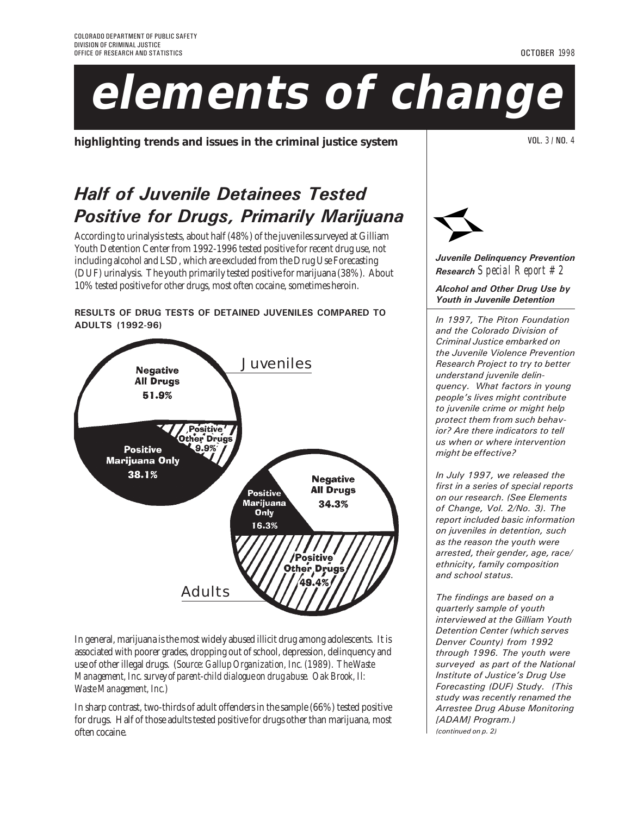# **elements of change**

**highlighting trends and issues in the criminal justice system**  $\vert$  **VILE 3** / NOL. 3 / NO. 4

## Half of Juvenile Detainees Tested Positive for Drugs, Primarily Marijuana

According to urinalysis tests, about half (48%) of the juveniles surveyed at Gilliam Youth Detention Center from 1992-1996 tested positive for recent drug use, not including alcohol and LSD, which are excluded from the Drug Use Forecasting (DUF) urinalysis. The youth primarily tested positive for marijuana (38%). About 10% tested positive for other drugs, most often cocaine, sometimes heroin.

ADULTS (1992-96)

RESULTS OF DRUG TESTS OF DETAINED JUVENILES COMPARED TO

In general, marijuana is the most widely abused illicit drug among adolescents. It is associated with poorer grades, dropping out of school, depression, delinquency and use of other illegal drugs. (*Source: Gallup Organization, Inc. (1989). The Waste Management, Inc. survey of parent-child dialogue on drug abuse. Oak Brook, Il: Waste Management, Inc.)*

In sharp contrast, two-thirds of adult offenders in the sample (66%) tested positive for drugs. Half of those adults tested positive for drugs other than marijuana, most often cocaine.

Juvenile Delinquency Prevention Research *Special Report #2*

Alcohol and Other Drug Use by Youth in Juvenile Detention

In 1997, The Piton Foundation and the Colorado Division of Criminal Justice embarked on the Juvenile Violence Prevention Research Project to try to better understand juvenile delinquency. What factors in young people's lives might contribute to juvenile crime or might help protect them from such behavior? Are there indicators to tell us when or where intervention might be effective?

In July 1997, we released the first in a series of special reports on our research. (See Elements of Change, Vol. 2/No. 3). The report included basic information on juveniles in detention, such as the reason the youth were arrested, their gender, age, race/ ethnicity, family composition and school status.

The findings are based on a quarterly sample of youth interviewed at the Gilliam Youth Detention Center (which serves Denver County) from 1992 through 1996. The youth were surveyed as part of the National Institute of Justice's Drug Use Forecasting (DUF) Study. (This study was recently renamed the Arrestee Drug Abuse Monitoring [ADAM] Program.) (continued on p. 2)



OCTOBER 1998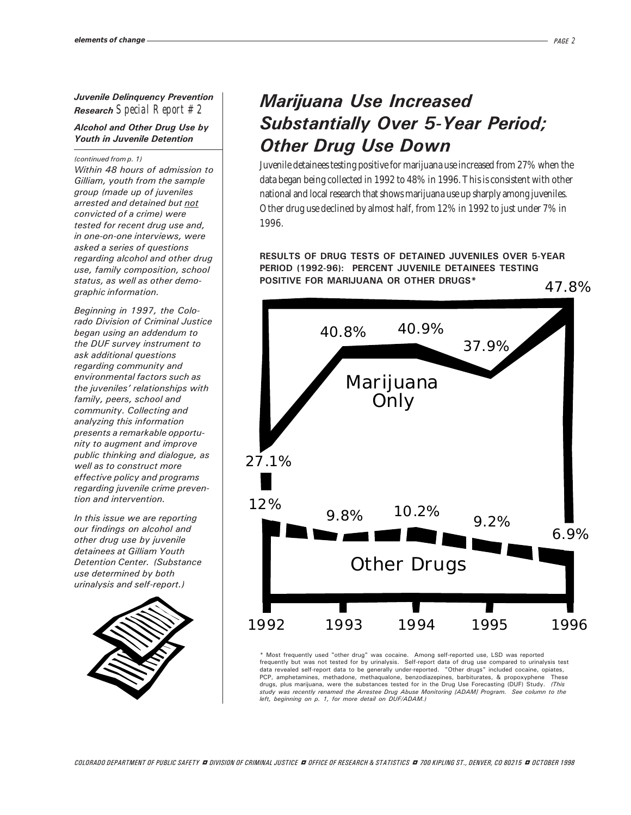Juvenile Delinquency Prevention Research *Special Report #2*

#### Alcohol and Other Drug Use by Youth in Juvenile Detention

(continued from p. 1)

Within 48 hours of admission to Gilliam, youth from the sample group (made up of juveniles arrested and detained but not convicted of a crime) were tested for recent drug use and, in one-on-one interviews, were asked a series of questions regarding alcohol and other drug use, family composition, school status, as well as other demographic information.

Beginning in 1997, the Colorado Division of Criminal Justice began using an addendum to the DUF survey instrument to ask additional questions regarding community and environmental factors such as the juveniles' relationships with family, peers, school and community. Collecting and analyzing this information presents a remarkable opportunity to augment and improve public thinking and dialogue, as well as to construct more effective policy and programs regarding juvenile crime prevention and intervention.

In this issue we are reporting our findings on alcohol and other drug use by juvenile detainees at Gilliam Youth Detention Center. (Substance use determined by both urinalysis and self-report.)



## Marijuana Use Increased Substantially Over 5-Year Period; Other Drug Use Down

Juvenile detainees testing positive for marijuana use increased from 27% when the data began being collected in 1992 to 48% in 1996. This is consistent with other national and local research that shows marijuana use up sharply among juveniles. Other drug use declined by almost half, from 12% in 1992 to just under 7% in 1996.

RESULTS OF DRUG TESTS OF DETAINED JUVENILES OVER 5-YEAR PERIOD (1992-96): PERCENT JUVENILE DETAINEES TESTING POSITIVE FOR MARIJUANA OR OTHER DRUGS\*



\* Most frequently used "other drug" was cocaine. Among self-reported use, LSD was reported frequently but was not tested for by urinalysis. Self-report data of drug use compared to urinalysis test<br>data revealed self-report data to be generally under-reported. "Other drugs" included cocaine, opiates,<br>PCP, ampheta drugs, plus marijuana, were the substances tested for in the Drug Use Forecasting (DUF) Study. (This study was recently renamed the Arrestee Drug Abuse Monitoring [ADAM] Program. See column to the left, beginning on p. 1, for more detail on DUF/ADAM.)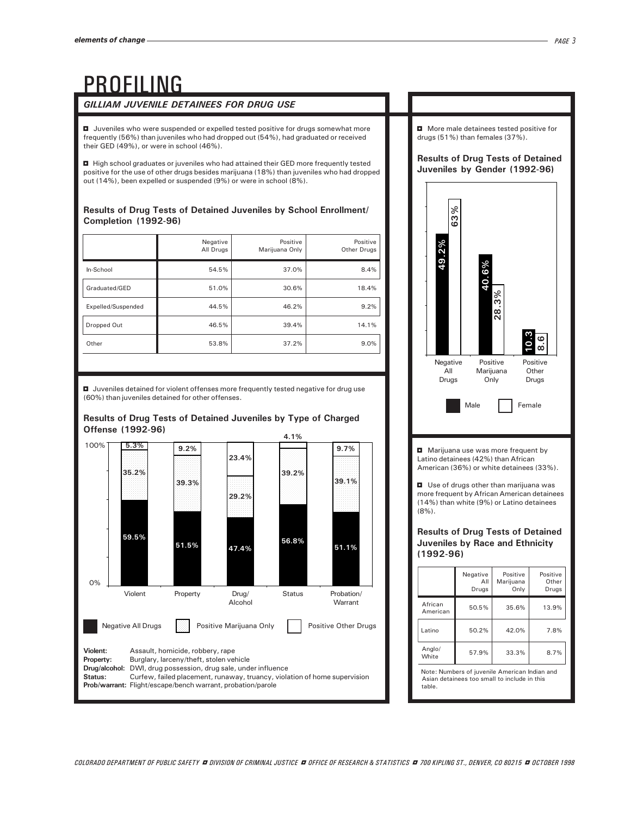## PROFILING

### GILLIAM JUVENILE DETAINEES FOR DRUG USE

 $\blacksquare$  Juveniles who were suspended or expelled tested positive for drugs somewhat more frequently (56%) than juveniles who had dropped out (54%), had graduated or received their GED (49%), or were in school (46%).

■ High school graduates or juveniles who had attained their GED more frequently tested positive for the use of other drugs besides marijuana (18%) than juveniles who had dropped out (14%), been expelled or suspended (9%) or were in school (8%).

#### Results of Drug Tests of Detained Juveniles by School Enrollment/ Completion (1992-96)

|                    | Negative<br>All Drugs | Positive<br>Marijuana Only | Positive<br>Other Drugs |
|--------------------|-----------------------|----------------------------|-------------------------|
| In-School          | 54.5%                 | 37.0%                      | 8.4%                    |
| Graduated/GED      | 51.0%                 | 30.6%                      | 18.4%                   |
| Expelled/Suspended | 44.5%                 | 46.2%                      | 9.2%                    |
| Dropped Out        | 46.5%                 | 39.4%                      | 14.1%                   |
| Other              | 53.8%                 | 37.2%                      | 9.0%                    |

 $\blacksquare$  Juveniles detained for violent offenses more frequently tested negative for drug use (60%) than juveniles detained for other offenses.



#### Results of Drug Tests of Detained Juveniles by Type of Charged Offense (1992-96)

 $\blacksquare$  More male detainees tested positive for drugs (51%) than females (37%).

#### Results of Drug Tests of Detained Juveniles by Gender (1992-96)



Note: Numbers of juvenile American Indian and Asian detainees too small to include in this table.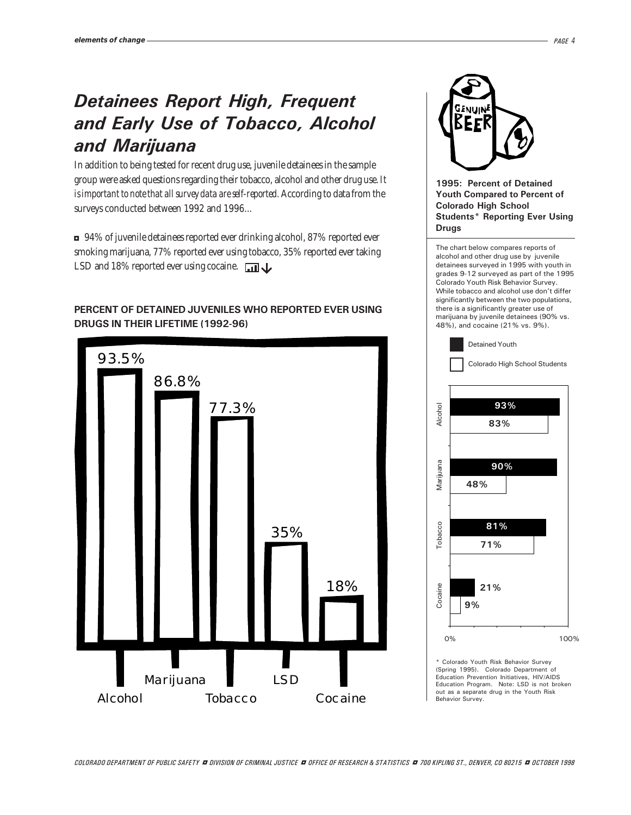## Detainees Report High, Frequent and Early Use of Tobacco, Alcohol and Marijuana

In addition to being tested for recent drug use, juvenile detainees in the sample group were asked questions regarding their tobacco, alcohol and other drug use. *It is important to note that all survey data are self-reported.* According to data from the surveys conducted between 1992 and 1996...

<sup>3</sup>94% of juvenile detainees reported ever drinking alcohol, 87% reported ever smoking marijuana, 77% reported ever using tobacco, 35% reported ever taking LSD and 18% reported ever using cocaine.

#### PERCENT OF DETAINED JUVENILES WHO REPORTED EVER USING DRUGS IN THEIR LIFETIME (1992-96)





#### 1995: Percent of Detained Youth Compared to Percent of Colorado High School Students\* Reporting Ever Using Drugs

The chart below compares reports of alcohol and other drug use by juvenile detainees surveyed in 1995 with youth in grades 9-12 surveyed as part of the 1995 Colorado Youth Risk Behavior Survey. While tobacco and alcohol use don't differ significantly between the two populations, there is a significantly greater use of marijuana by juvenile detainees (90% vs. 48%), and cocaine (21% vs. 9%).



\* Colorado Youth Risk Behavior Survey (Spring 1995). Colorado Department of Education Prevention Initiatives, HIV/AIDS Education Program. Note: LSD is not broken out as a separate drug in the Youth Risk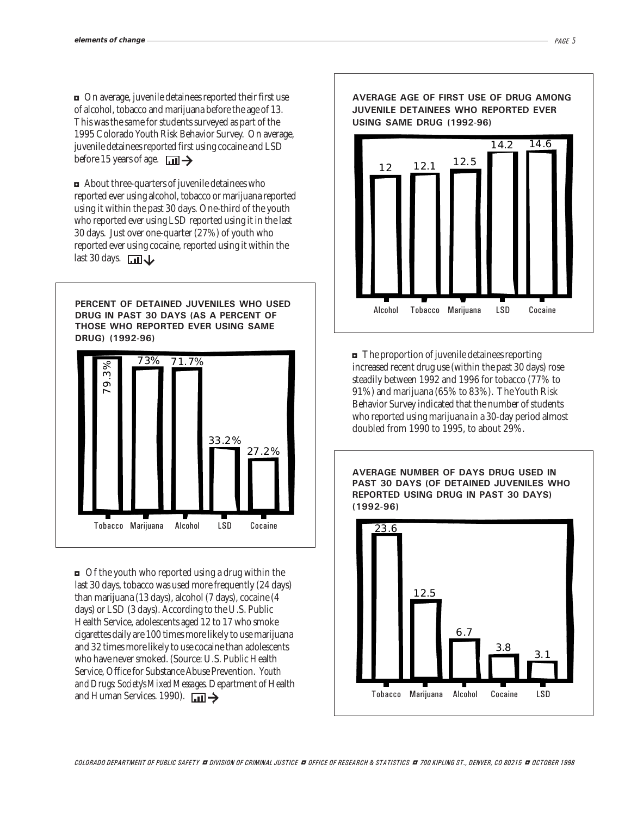<sup>3</sup>On average, juvenile detainees reported their first use of alcohol, tobacco and marijuana before the age of 13. This was the same for students surveyed as part of the 1995 Colorado Youth Risk Behavior Survey. On average, juvenile detainees reported first using cocaine and LSD before 15 years of age.  $\Box$ 

 $\blacksquare$  About three-quarters of juvenile detainees who reported ever using alcohol, tobacco or marijuana reported using it within the past 30 days. One-third of the youth who reported ever using LSD reported using it in the last 30 days. Just over one-quarter (27%) of youth who reported ever using cocaine, reported using it within the last 30 days.  $\Box$ 

PERCENT OF DETAINED JUVENILES WHO USED DRUG IN PAST 30 DAYS (AS A PERCENT OF THOSE WHO REPORTED EVER USING SAME DRUG) (1992-96)



 $\Box$  Of the youth who reported using a drug within the last 30 days, tobacco was used more frequently (24 days) than marijuana (13 days), alcohol (7 days), cocaine (4 days) or LSD (3 days). According to the U.S. Public Health Service, adolescents aged 12 to 17 who smoke cigarettes daily are 100 times more likely to use marijuana and 32 times more likely to use cocaine than adolescents who have never smoked. (Source: U.S. Public Health Service, Office for Substance Abuse Prevention. *Youth and Drugs: Society's Mixed Messages*. Department of Health and Human Services. 1990).  $\Box$ 



 $\blacksquare$  The proportion of juvenile detainees reporting increased recent drug use (within the past 30 days) rose steadily between 1992 and 1996 for tobacco (77% to 91%) and marijuana (65% to 83%). The Youth Risk Behavior Survey indicated that the number of students who reported using marijuana in a 30-day period almost doubled from 1990 to 1995, to about 29%.

AVERAGE NUMBER OF DAYS DRUG USED IN PAST 30 DAYS (OF DETAINED JUVENILES WHO REPORTED USING DRUG IN PAST 30 DAYS) (1992-96)